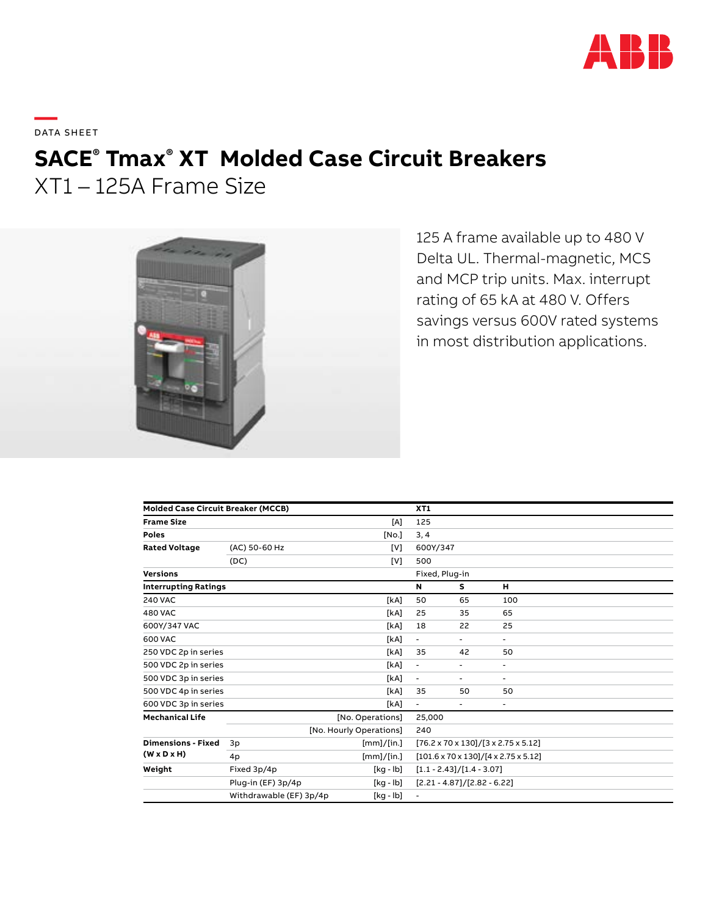

**—**  DATA SHEET

# **SACE® Tmax® XT Molded Case Circuit Breakers**

XT1 – 125A Frame Size



125 A frame available up to 480 V Delta UL. Thermal-magnetic, MCS and MCP trip units. Max. interrupt rating of 65 kA at 480 V. Offers savings versus 600V rated systems in most distribution applications.

| <b>Molded Case Circuit Breaker (MCCB)</b>            |                         |            | XT1                                                        |                                                           |                          |  |  |
|------------------------------------------------------|-------------------------|------------|------------------------------------------------------------|-----------------------------------------------------------|--------------------------|--|--|
| <b>Frame Size</b>                                    |                         | [A]        | 125                                                        |                                                           |                          |  |  |
| <b>Poles</b>                                         |                         | [No.]      | 3, 4                                                       |                                                           |                          |  |  |
| <b>Rated Voltage</b>                                 | (AC) 50-60 Hz           | [V]        | 600Y/347                                                   |                                                           |                          |  |  |
|                                                      | (DC)                    | [V]        | 500                                                        |                                                           |                          |  |  |
| <b>Versions</b>                                      |                         |            |                                                            | Fixed, Plug-in                                            |                          |  |  |
| <b>Interrupting Ratings</b>                          |                         |            | N                                                          | s                                                         | н                        |  |  |
| <b>240 VAC</b>                                       |                         | [kA]       | 50                                                         | 65                                                        | 100                      |  |  |
| <b>480 VAC</b>                                       |                         | [kA]       | 25                                                         | 35                                                        | 65                       |  |  |
| 600Y/347 VAC                                         |                         | [kA]       | 18                                                         | 22                                                        | 25                       |  |  |
| 600 VAC                                              |                         | [kA]       | $\blacksquare$                                             | $\overline{\phantom{0}}$                                  | $\sim$                   |  |  |
| 250 VDC 2p in series                                 |                         | [kA]       | 35                                                         | 42                                                        | 50                       |  |  |
| 500 VDC 2p in series                                 |                         | [kA]       | $\overline{\phantom{a}}$                                   | ٠                                                         | $\blacksquare$           |  |  |
| 500 VDC 3p in series                                 |                         | [kA]       | $\blacksquare$                                             | ۰.                                                        | ۰                        |  |  |
| 500 VDC 4p in series                                 |                         | [kA]       | 35                                                         | 50                                                        | 50                       |  |  |
| 600 VDC 3p in series                                 |                         | [kA]       | $\blacksquare$                                             | ٠                                                         | $\overline{\phantom{a}}$ |  |  |
| <b>Mechanical Life</b>                               | [No. Operations]        |            |                                                            | 25,000                                                    |                          |  |  |
|                                                      | [No. Hourly Operations] |            | 240                                                        |                                                           |                          |  |  |
| <b>Dimensions - Fixed</b><br>$(W \times D \times H)$ | 3p                      | [mm]/[in.] |                                                            | $[76.2 \times 70 \times 130]/[3 \times 2.75 \times 5.12]$ |                          |  |  |
|                                                      | 4p                      | [mm]/[in.] | $[101.6 \times 70 \times 130]/[4 \times 2.75 \times 5.12]$ |                                                           |                          |  |  |
| Weight                                               | Fixed 3p/4p             | [kg - lb]  | $[1.1 - 2.43]/[1.4 - 3.07]$                                |                                                           |                          |  |  |
|                                                      | Plug-in (EF) 3p/4p      | [kg - lb]  | $[2.21 - 4.87]/[2.82 - 6.22]$                              |                                                           |                          |  |  |
|                                                      | Withdrawable (EF) 3p/4p | [kg - lb]  | $\blacksquare$                                             |                                                           |                          |  |  |